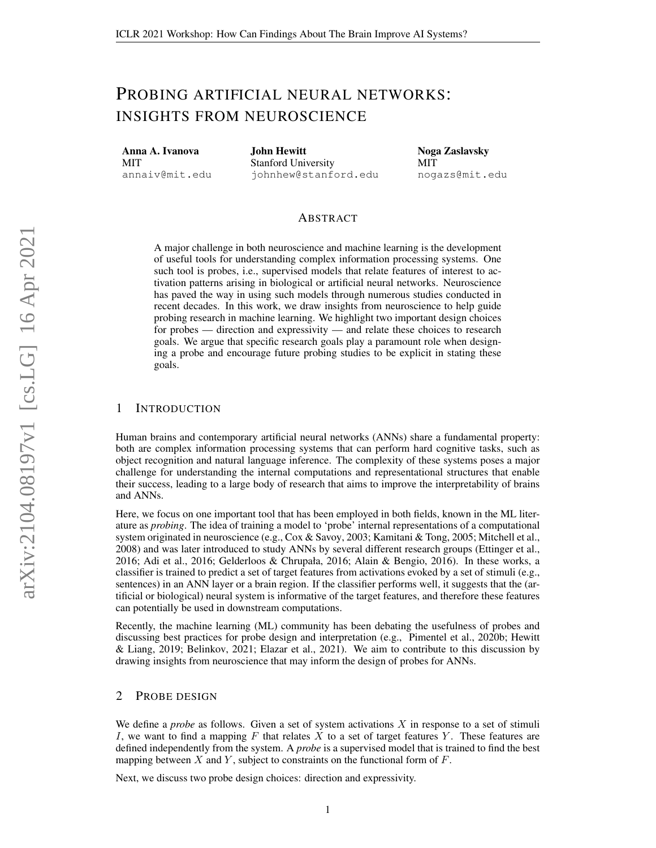# PROBING ARTIFICIAL NEURAL NETWORKS: INSIGHTS FROM NEUROSCIENCE

Anna A. Ivanova **MIT** annaiv@mit.edu John Hewitt Stanford University johnhew@stanford.edu Noga Zaslavsky MIT nogazs@mit.edu

# ABSTRACT

A major challenge in both neuroscience and machine learning is the development of useful tools for understanding complex information processing systems. One such tool is probes, i.e., supervised models that relate features of interest to activation patterns arising in biological or artificial neural networks. Neuroscience has paved the way in using such models through numerous studies conducted in recent decades. In this work, we draw insights from neuroscience to help guide probing research in machine learning. We highlight two important design choices for probes — direction and expressivity — and relate these choices to research goals. We argue that specific research goals play a paramount role when designing a probe and encourage future probing studies to be explicit in stating these goals.

## 1 INTRODUCTION

Human brains and contemporary artificial neural networks (ANNs) share a fundamental property: both are complex information processing systems that can perform hard cognitive tasks, such as object recognition and natural language inference. The complexity of these systems poses a major challenge for understanding the internal computations and representational structures that enable their success, leading to a large body of research that aims to improve the interpretability of brains and ANNs.

Here, we focus on one important tool that has been employed in both fields, known in the ML literature as *probing*. The idea of training a model to 'probe' internal representations of a computational system originated in neuroscience (e.g., [Cox & Savoy, 2003;](#page-4-0) [Kamitani & Tong, 2005;](#page-5-0) [Mitchell et al.,](#page-6-0) [2008\)](#page-6-0) and was later introduced to study ANNs by several different research groups [\(Ettinger et al.,](#page-5-1) [2016;](#page-5-1) [Adi et al., 2016;](#page-4-1) [Gelderloos & Chrupała, 2016;](#page-5-2) [Alain & Bengio, 2016\)](#page-4-2). In these works, a classifier is trained to predict a set of target features from activations evoked by a set of stimuli (e.g., sentences) in an ANN layer or a brain region. If the classifier performs well, it suggests that the (artificial or biological) neural system is informative of the target features, and therefore these features can potentially be used in downstream computations.

Recently, the machine learning (ML) community has been debating the usefulness of probes and discussing best practices for probe design and interpretation (e.g., [Pimentel et al., 2020b;](#page-6-1) [Hewitt](#page-5-3) [& Liang, 2019;](#page-5-3) [Belinkov, 2021;](#page-4-3) [Elazar et al., 2021\)](#page-4-4). We aim to contribute to this discussion by drawing insights from neuroscience that may inform the design of probes for ANNs.

## 2 PROBE DESIGN

We define a *probe* as follows. Given a set of system activations X in response to a set of stimuli I, we want to find a mapping  $F$  that relates  $X$  to a set of target features  $Y$ . These features are defined independently from the system. A *probe* is a supervised model that is trained to find the best mapping between  $X$  and  $Y$ , subject to constraints on the functional form of  $F$ .

Next, we discuss two probe design choices: direction and expressivity.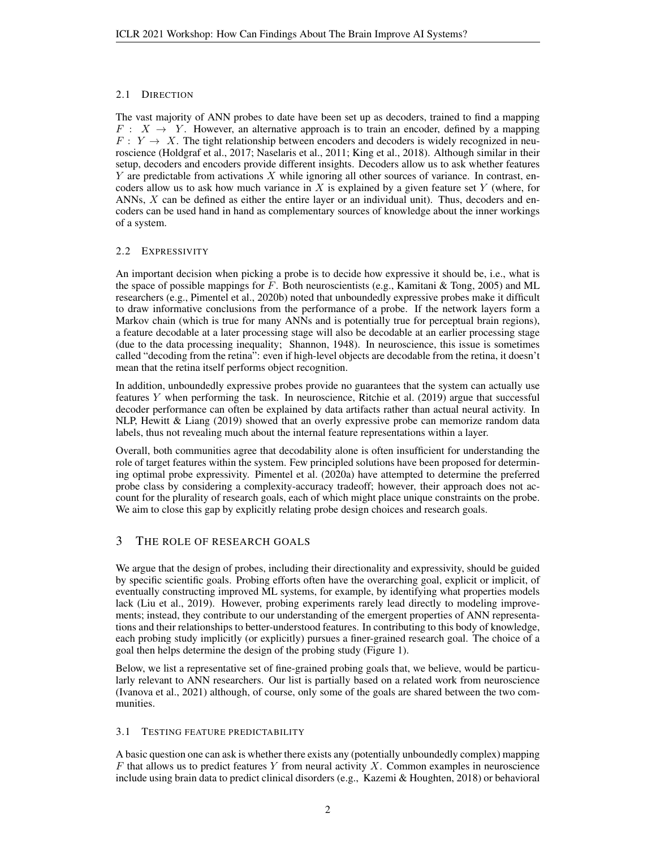# 2.1 DIRECTION

The vast majority of ANN probes to date have been set up as decoders, trained to find a mapping  $F: X \rightarrow Y$ . However, an alternative approach is to train an encoder, defined by a mapping  $F: Y \to X$ . The tight relationship between encoders and decoders is widely recognized in neuroscience [\(Holdgraf et al., 2017;](#page-5-4) [Naselaris et al., 2011;](#page-6-2) [King et al., 2018\)](#page-5-5). Although similar in their setup, decoders and encoders provide different insights. Decoders allow us to ask whether features Y are predictable from activations X while ignoring all other sources of variance. In contrast, encoders allow us to ask how much variance in  $X$  is explained by a given feature set  $Y$  (where, for ANNs,  $X$  can be defined as either the entire layer or an individual unit). Thus, decoders and encoders can be used hand in hand as complementary sources of knowledge about the inner workings of a system.

## <span id="page-1-0"></span>2.2 EXPRESSIVITY

An important decision when picking a probe is to decide how expressive it should be, i.e., what is the space of possible mappings for  $F$ . Both neuroscientists (e.g., [Kamitani & Tong, 2005\)](#page-5-0) and ML researchers (e.g., [Pimentel et al., 2020b\)](#page-6-1) noted that unboundedly expressive probes make it difficult to draw informative conclusions from the performance of a probe. If the network layers form a Markov chain (which is true for many ANNs and is potentially true for perceptual brain regions), a feature decodable at a later processing stage will also be decodable at an earlier processing stage (due to the data processing inequality; [Shannon, 1948\)](#page-6-3). In neuroscience, this issue is sometimes called "decoding from the retina": even if high-level objects are decodable from the retina, it doesn't mean that the retina itself performs object recognition.

In addition, unboundedly expressive probes provide no guarantees that the system can actually use features Y when performing the task. In neuroscience, [Ritchie et al.](#page-6-4) [\(2019\)](#page-6-4) argue that successful decoder performance can often be explained by data artifacts rather than actual neural activity. In NLP, [Hewitt & Liang](#page-5-3) [\(2019\)](#page-5-3) showed that an overly expressive probe can memorize random data labels, thus not revealing much about the internal feature representations within a layer.

Overall, both communities agree that decodability alone is often insufficient for understanding the role of target features within the system. Few principled solutions have been proposed for determining optimal probe expressivity. [Pimentel et al.](#page-6-5) [\(2020a\)](#page-6-5) have attempted to determine the preferred probe class by considering a complexity-accuracy tradeoff; however, their approach does not account for the plurality of research goals, each of which might place unique constraints on the probe. We aim to close this gap by explicitly relating probe design choices and research goals.

# 3 THE ROLE OF RESEARCH GOALS

We argue that the design of probes, including their directionality and expressivity, should be guided by specific scientific goals. Probing efforts often have the overarching goal, explicit or implicit, of eventually constructing improved ML systems, for example, by identifying what properties models lack [\(Liu et al., 2019\)](#page-5-6). However, probing experiments rarely lead directly to modeling improvements; instead, they contribute to our understanding of the emergent properties of ANN representations and their relationships to better-understood features. In contributing to this body of knowledge, each probing study implicitly (or explicitly) pursues a finer-grained research goal. The choice of a goal then helps determine the design of the probing study (Figure [1\)](#page-2-0).

Below, we list a representative set of fine-grained probing goals that, we believe, would be particularly relevant to ANN researchers. Our list is partially based on a related work from neuroscience [\(Ivanova et al., 2021\)](#page-5-7) although, of course, only some of the goals are shared between the two communities.

## <span id="page-1-1"></span>3.1 TESTING FEATURE PREDICTABILITY

A basic question one can ask is whether there exists any (potentially unboundedly complex) mapping  $F$  that allows us to predict features Y from neural activity X. Common examples in neuroscience include using brain data to predict clinical disorders (e.g., [Kazemi & Houghten, 2018\)](#page-5-8) or behavioral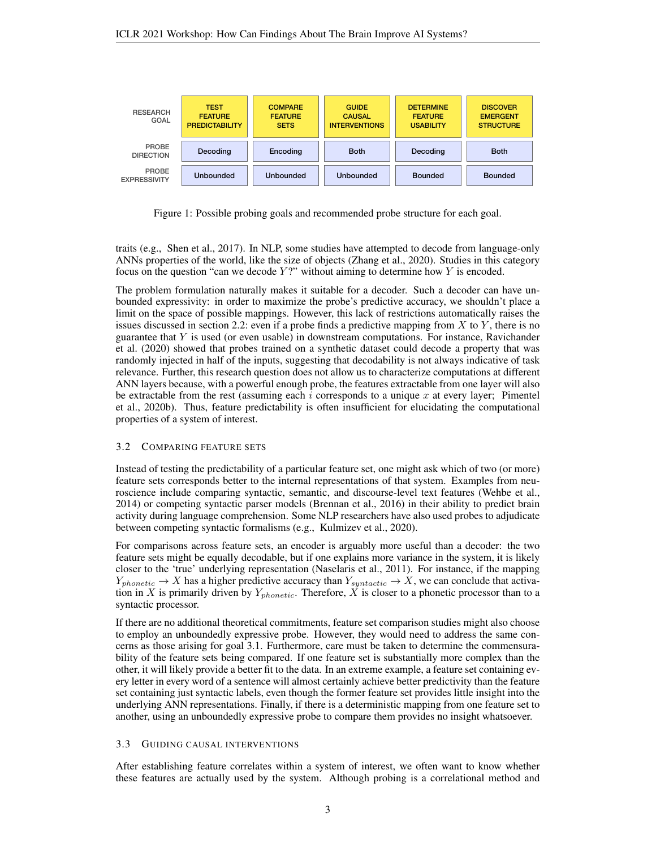

<span id="page-2-0"></span>Figure 1: Possible probing goals and recommended probe structure for each goal.

traits (e.g., [Shen et al., 2017\)](#page-6-6). In NLP, some studies have attempted to decode from language-only ANNs properties of the world, like the size of objects [\(Zhang et al., 2020\)](#page-6-7). Studies in this category focus on the question "can we decode  $Y$ ?" without aiming to determine how  $Y$  is encoded.

The problem formulation naturally makes it suitable for a decoder. Such a decoder can have unbounded expressivity: in order to maximize the probe's predictive accuracy, we shouldn't place a limit on the space of possible mappings. However, this lack of restrictions automatically raises the issues discussed in section [2.2:](#page-1-0) even if a probe finds a predictive mapping from X to Y, there is no guarantee that  $Y$  is used (or even usable) in downstream computations. For instance, [Ravichander](#page-6-8) [et al.](#page-6-8) [\(2020\)](#page-6-8) showed that probes trained on a synthetic dataset could decode a property that was randomly injected in half of the inputs, suggesting that decodability is not always indicative of task relevance. Further, this research question does not allow us to characterize computations at different ANN layers because, with a powerful enough probe, the features extractable from one layer will also be extractable from the rest (assuming each i corresponds to a unique x at every layer; [Pimentel](#page-6-1) [et al., 2020b\)](#page-6-1). Thus, feature predictability is often insufficient for elucidating the computational properties of a system of interest.

#### 3.2 COMPARING FEATURE SETS

Instead of testing the predictability of a particular feature set, one might ask which of two (or more) feature sets corresponds better to the internal representations of that system. Examples from neuroscience include comparing syntactic, semantic, and discourse-level text features [\(Wehbe et al.,](#page-6-9) [2014\)](#page-6-9) or competing syntactic parser models [\(Brennan et al., 2016\)](#page-4-5) in their ability to predict brain activity during language comprehension. Some NLP researchers have also used probes to adjudicate between competing syntactic formalisms (e.g., [Kulmizev et al., 2020\)](#page-5-9).

For comparisons across feature sets, an encoder is arguably more useful than a decoder: the two feature sets might be equally decodable, but if one explains more variance in the system, it is likely closer to the 'true' underlying representation [\(Naselaris et al., 2011\)](#page-6-2). For instance, if the mapping  $Y_{phonetic} \rightarrow X$  has a higher predictive accuracy than  $Y_{syntactic} \rightarrow X$ , we can conclude that activation in X is primarily driven by  $Y_{phonetic}$ . Therefore, X is closer to a phonetic processor than to a syntactic processor.

If there are no additional theoretical commitments, feature set comparison studies might also choose to employ an unboundedly expressive probe. However, they would need to address the same concerns as those arising for goal [3.1.](#page-1-1) Furthermore, care must be taken to determine the commensurability of the feature sets being compared. If one feature set is substantially more complex than the other, it will likely provide a better fit to the data. In an extreme example, a feature set containing every letter in every word of a sentence will almost certainly achieve better predictivity than the feature set containing just syntactic labels, even though the former feature set provides little insight into the underlying ANN representations. Finally, if there is a deterministic mapping from one feature set to another, using an unboundedly expressive probe to compare them provides no insight whatsoever.

#### 3.3 GUIDING CAUSAL INTERVENTIONS

After establishing feature correlates within a system of interest, we often want to know whether these features are actually used by the system. Although probing is a correlational method and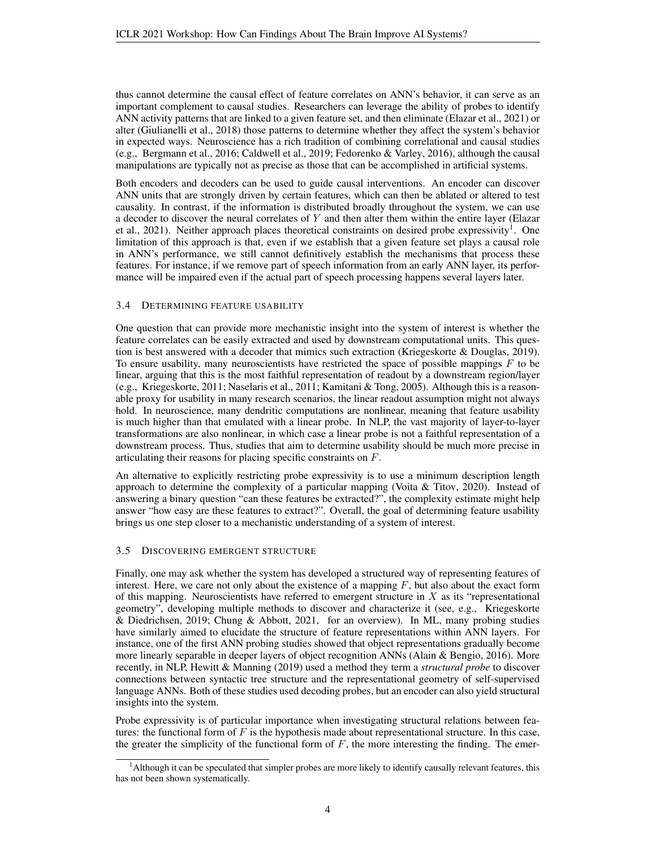thus cannot determine the causal effect of feature correlates on ANN's behavior, it can serve as an important complement to causal studies. Researchers can leverage the ability of probes to identify ANN activity patterns that are linked to a given feature set, and then eliminate [\(Elazar et al., 2021\)](#page-4-4) or alter [\(Giulianelli et al., 2018\)](#page-5-10) those patterns to determine whether they affect the system's behavior in expected ways. Neuroscience has a rich tradition of combining correlational and causal studies (e.g., [Bergmann et al., 2016;](#page-4-6) [Caldwell et al., 2019;](#page-4-7) [Fedorenko & Varley, 2016\)](#page-5-11), although the causal manipulations are typically not as precise as those that can be accomplished in artificial systems.

Both encoders and decoders can be used to guide causal interventions. An encoder can discover ANN units that are strongly driven by certain features, which can then be ablated or altered to test causality. In contrast, if the information is distributed broadly throughout the system, we can use a decoder to discover the neural correlates of  $Y$  and then alter them within the entire layer [\(Elazar](#page-4-4) [et al., 2021\)](#page-4-4). Neither approach places theoretical constraints on desired probe expressivity<sup>[1](#page-3-0)</sup>. One limitation of this approach is that, even if we establish that a given feature set plays a causal role in ANN's performance, we still cannot definitively establish the mechanisms that process these features. For instance, if we remove part of speech information from an early ANN layer, its performance will be impaired even if the actual part of speech processing happens several layers later.

#### 3.4 DETERMINING FEATURE USABILITY

One question that can provide more mechanistic insight into the system of interest is whether the feature correlates can be easily extracted and used by downstream computational units. This question is best answered with a decoder that mimics such extraction [\(Kriegeskorte & Douglas, 2019\)](#page-5-12). To ensure usability, many neuroscientists have restricted the space of possible mappings  $F$  to be linear, arguing that this is the most faithful representation of readout by a downstream region/layer (e.g., [Kriegeskorte, 2011;](#page-5-13) [Naselaris et al., 2011;](#page-6-2) [Kamitani & Tong, 2005\)](#page-5-0). Although this is a reasonable proxy for usability in many research scenarios, the linear readout assumption might not always hold. In neuroscience, many dendritic computations are nonlinear, meaning that feature usability is much higher than that emulated with a linear probe. In NLP, the vast majority of layer-to-layer transformations are also nonlinear, in which case a linear probe is not a faithful representation of a downstream process. Thus, studies that aim to determine usability should be much more precise in articulating their reasons for placing specific constraints on F.

An alternative to explicitly restricting probe expressivity is to use a minimum description length approach to determine the complexity of a particular mapping (Voita  $&$  Titov, 2020). Instead of answering a binary question "can these features be extracted?", the complexity estimate might help answer "how easy are these features to extract?". Overall, the goal of determining feature usability brings us one step closer to a mechanistic understanding of a system of interest.

#### 3.5 DISCOVERING EMERGENT STRUCTURE

Finally, one may ask whether the system has developed a structured way of representing features of interest. Here, we care not only about the existence of a mapping  $F$ , but also about the exact form of this mapping. Neuroscientists have referred to emergent structure in  $X$  as its "representational geometry", developing multiple methods to discover and characterize it (see, e.g., [Kriegeskorte](#page-5-14) [& Diedrichsen, 2019;](#page-5-14) [Chung & Abbott, 2021,](#page-4-8) for an overview). In ML, many probing studies have similarly aimed to elucidate the structure of feature representations within ANN layers. For instance, one of the first ANN probing studies showed that object representations gradually become more linearly separable in deeper layers of object recognition ANNs [\(Alain & Bengio, 2016\)](#page-4-2). More recently, in NLP, [Hewitt & Manning](#page-5-15) [\(2019\)](#page-5-15) used a method they term a *structural probe* to discover connections between syntactic tree structure and the representational geometry of self-supervised language ANNs. Both of these studies used decoding probes, but an encoder can also yield structural insights into the system.

Probe expressivity is of particular importance when investigating structural relations between features: the functional form of  $F$  is the hypothesis made about representational structure. In this case, the greater the simplicity of the functional form of  $F$ , the more interesting the finding. The emer-

<span id="page-3-0"></span><sup>&</sup>lt;sup>1</sup>Although it can be speculated that simpler probes are more likely to identify causally relevant features, this has not been shown systematically.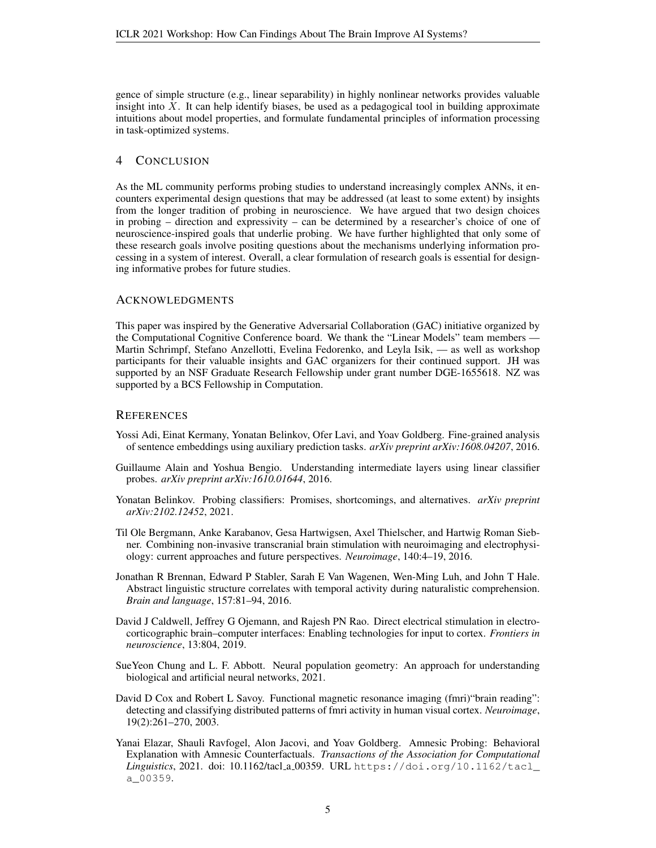gence of simple structure (e.g., linear separability) in highly nonlinear networks provides valuable insight into  $X$ . It can help identify biases, be used as a pedagogical tool in building approximate intuitions about model properties, and formulate fundamental principles of information processing in task-optimized systems.

## 4 CONCLUSION

As the ML community performs probing studies to understand increasingly complex ANNs, it encounters experimental design questions that may be addressed (at least to some extent) by insights from the longer tradition of probing in neuroscience. We have argued that two design choices in probing – direction and expressivity – can be determined by a researcher's choice of one of neuroscience-inspired goals that underlie probing. We have further highlighted that only some of these research goals involve positing questions about the mechanisms underlying information processing in a system of interest. Overall, a clear formulation of research goals is essential for designing informative probes for future studies.

## **ACKNOWLEDGMENTS**

This paper was inspired by the Generative Adversarial Collaboration (GAC) initiative organized by the Computational Cognitive Conference board. We thank the "Linear Models" team members — Martin Schrimpf, Stefano Anzellotti, Evelina Fedorenko, and Leyla Isik, — as well as workshop participants for their valuable insights and GAC organizers for their continued support. JH was supported by an NSF Graduate Research Fellowship under grant number DGE-1655618. NZ was supported by a BCS Fellowship in Computation.

#### **REFERENCES**

- <span id="page-4-1"></span>Yossi Adi, Einat Kermany, Yonatan Belinkov, Ofer Lavi, and Yoav Goldberg. Fine-grained analysis of sentence embeddings using auxiliary prediction tasks. *arXiv preprint arXiv:1608.04207*, 2016.
- <span id="page-4-2"></span>Guillaume Alain and Yoshua Bengio. Understanding intermediate layers using linear classifier probes. *arXiv preprint arXiv:1610.01644*, 2016.
- <span id="page-4-3"></span>Yonatan Belinkov. Probing classifiers: Promises, shortcomings, and alternatives. *arXiv preprint arXiv:2102.12452*, 2021.
- <span id="page-4-6"></span>Til Ole Bergmann, Anke Karabanov, Gesa Hartwigsen, Axel Thielscher, and Hartwig Roman Siebner. Combining non-invasive transcranial brain stimulation with neuroimaging and electrophysiology: current approaches and future perspectives. *Neuroimage*, 140:4–19, 2016.
- <span id="page-4-5"></span>Jonathan R Brennan, Edward P Stabler, Sarah E Van Wagenen, Wen-Ming Luh, and John T Hale. Abstract linguistic structure correlates with temporal activity during naturalistic comprehension. *Brain and language*, 157:81–94, 2016.
- <span id="page-4-7"></span>David J Caldwell, Jeffrey G Ojemann, and Rajesh PN Rao. Direct electrical stimulation in electrocorticographic brain–computer interfaces: Enabling technologies for input to cortex. *Frontiers in neuroscience*, 13:804, 2019.
- <span id="page-4-8"></span>SueYeon Chung and L. F. Abbott. Neural population geometry: An approach for understanding biological and artificial neural networks, 2021.
- <span id="page-4-0"></span>David D Cox and Robert L Savoy. Functional magnetic resonance imaging (fmri) "brain reading": detecting and classifying distributed patterns of fmri activity in human visual cortex. *Neuroimage*, 19(2):261–270, 2003.
- <span id="page-4-4"></span>Yanai Elazar, Shauli Ravfogel, Alon Jacovi, and Yoav Goldberg. Amnesic Probing: Behavioral Explanation with Amnesic Counterfactuals. *Transactions of the Association for Computational Linguistics*, 2021. doi: 10.1162/tacl a 00359. URL [https://doi.org/10.1162/tacl\\_](https://doi.org/10.1162/tacl_a_00359) [a\\_00359](https://doi.org/10.1162/tacl_a_00359).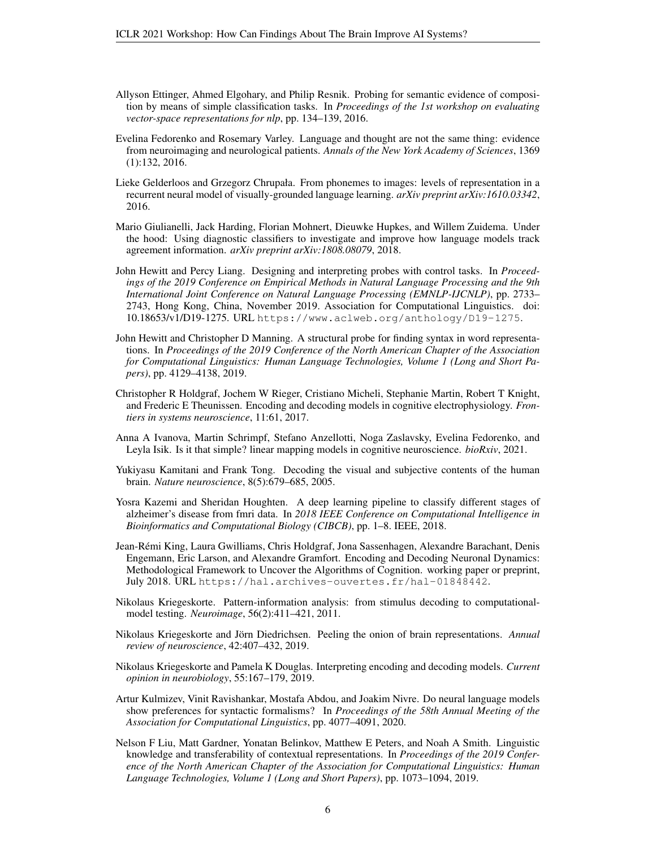- <span id="page-5-1"></span>Allyson Ettinger, Ahmed Elgohary, and Philip Resnik. Probing for semantic evidence of composition by means of simple classification tasks. In *Proceedings of the 1st workshop on evaluating vector-space representations for nlp*, pp. 134–139, 2016.
- <span id="page-5-11"></span>Evelina Fedorenko and Rosemary Varley. Language and thought are not the same thing: evidence from neuroimaging and neurological patients. *Annals of the New York Academy of Sciences*, 1369 (1):132, 2016.
- <span id="page-5-2"></span>Lieke Gelderloos and Grzegorz Chrupała. From phonemes to images: levels of representation in a recurrent neural model of visually-grounded language learning. *arXiv preprint arXiv:1610.03342*, 2016.
- <span id="page-5-10"></span>Mario Giulianelli, Jack Harding, Florian Mohnert, Dieuwke Hupkes, and Willem Zuidema. Under the hood: Using diagnostic classifiers to investigate and improve how language models track agreement information. *arXiv preprint arXiv:1808.08079*, 2018.
- <span id="page-5-3"></span>John Hewitt and Percy Liang. Designing and interpreting probes with control tasks. In *Proceedings of the 2019 Conference on Empirical Methods in Natural Language Processing and the 9th International Joint Conference on Natural Language Processing (EMNLP-IJCNLP)*, pp. 2733– 2743, Hong Kong, China, November 2019. Association for Computational Linguistics. doi: 10.18653/v1/D19-1275. URL <https://www.aclweb.org/anthology/D19-1275>.
- <span id="page-5-15"></span>John Hewitt and Christopher D Manning. A structural probe for finding syntax in word representations. In *Proceedings of the 2019 Conference of the North American Chapter of the Association for Computational Linguistics: Human Language Technologies, Volume 1 (Long and Short Papers)*, pp. 4129–4138, 2019.
- <span id="page-5-4"></span>Christopher R Holdgraf, Jochem W Rieger, Cristiano Micheli, Stephanie Martin, Robert T Knight, and Frederic E Theunissen. Encoding and decoding models in cognitive electrophysiology. *Frontiers in systems neuroscience*, 11:61, 2017.
- <span id="page-5-7"></span>Anna A Ivanova, Martin Schrimpf, Stefano Anzellotti, Noga Zaslavsky, Evelina Fedorenko, and Leyla Isik. Is it that simple? linear mapping models in cognitive neuroscience. *bioRxiv*, 2021.
- <span id="page-5-0"></span>Yukiyasu Kamitani and Frank Tong. Decoding the visual and subjective contents of the human brain. *Nature neuroscience*, 8(5):679–685, 2005.
- <span id="page-5-8"></span>Yosra Kazemi and Sheridan Houghten. A deep learning pipeline to classify different stages of alzheimer's disease from fmri data. In *2018 IEEE Conference on Computational Intelligence in Bioinformatics and Computational Biology (CIBCB)*, pp. 1–8. IEEE, 2018.
- <span id="page-5-5"></span>Jean-Remi King, Laura Gwilliams, Chris Holdgraf, Jona Sassenhagen, Alexandre Barachant, Denis ´ Engemann, Eric Larson, and Alexandre Gramfort. Encoding and Decoding Neuronal Dynamics: Methodological Framework to Uncover the Algorithms of Cognition. working paper or preprint, July 2018. URL <https://hal.archives-ouvertes.fr/hal-01848442>.
- <span id="page-5-13"></span>Nikolaus Kriegeskorte. Pattern-information analysis: from stimulus decoding to computationalmodel testing. *Neuroimage*, 56(2):411–421, 2011.
- <span id="page-5-14"></span>Nikolaus Kriegeskorte and Jörn Diedrichsen. Peeling the onion of brain representations. Annual *review of neuroscience*, 42:407–432, 2019.
- <span id="page-5-12"></span>Nikolaus Kriegeskorte and Pamela K Douglas. Interpreting encoding and decoding models. *Current opinion in neurobiology*, 55:167–179, 2019.
- <span id="page-5-9"></span>Artur Kulmizev, Vinit Ravishankar, Mostafa Abdou, and Joakim Nivre. Do neural language models show preferences for syntactic formalisms? In *Proceedings of the 58th Annual Meeting of the Association for Computational Linguistics*, pp. 4077–4091, 2020.
- <span id="page-5-6"></span>Nelson F Liu, Matt Gardner, Yonatan Belinkov, Matthew E Peters, and Noah A Smith. Linguistic knowledge and transferability of contextual representations. In *Proceedings of the 2019 Conference of the North American Chapter of the Association for Computational Linguistics: Human Language Technologies, Volume 1 (Long and Short Papers)*, pp. 1073–1094, 2019.